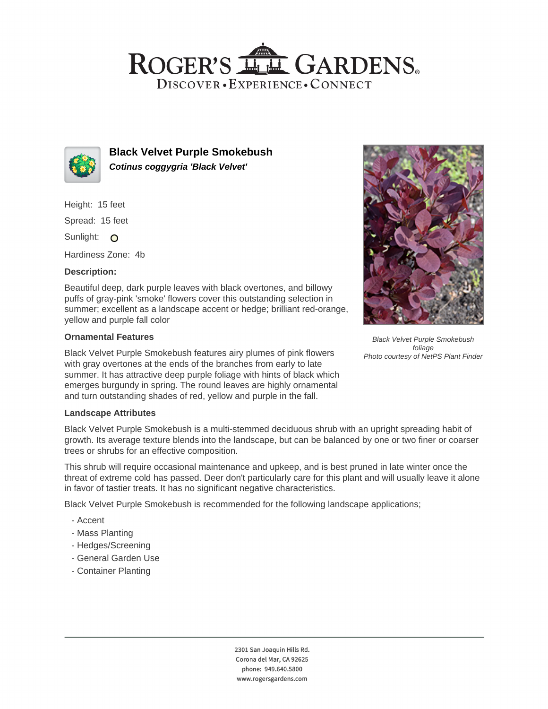## ROGER'S LL GARDENS. DISCOVER · EXPERIENCE · CONNECT



**Black Velvet Purple Smokebush Cotinus coggygria 'Black Velvet'**

Height: 15 feet

Spread: 15 feet

Sunlight: O

Hardiness Zone: 4b

## **Description:**

Beautiful deep, dark purple leaves with black overtones, and billowy puffs of gray-pink 'smoke' flowers cover this outstanding selection in summer; excellent as a landscape accent or hedge; brilliant red-orange, yellow and purple fall color

### **Ornamental Features**

Black Velvet Purple Smokebush features airy plumes of pink flowers with gray overtones at the ends of the branches from early to late summer. It has attractive deep purple foliage with hints of black which emerges burgundy in spring. The round leaves are highly ornamental and turn outstanding shades of red, yellow and purple in the fall.

## **Landscape Attributes**

Black Velvet Purple Smokebush is a multi-stemmed deciduous shrub with an upright spreading habit of growth. Its average texture blends into the landscape, but can be balanced by one or two finer or coarser trees or shrubs for an effective composition.

This shrub will require occasional maintenance and upkeep, and is best pruned in late winter once the threat of extreme cold has passed. Deer don't particularly care for this plant and will usually leave it alone in favor of tastier treats. It has no significant negative characteristics.

Black Velvet Purple Smokebush is recommended for the following landscape applications;

- Accent
- Mass Planting
- Hedges/Screening
- General Garden Use
- Container Planting



Black Velvet Purple Smokebush foliage Photo courtesy of NetPS Plant Finder

2301 San Joaquin Hills Rd. Corona del Mar, CA 92625 phone: 949.640.5800 www.rogersgardens.com